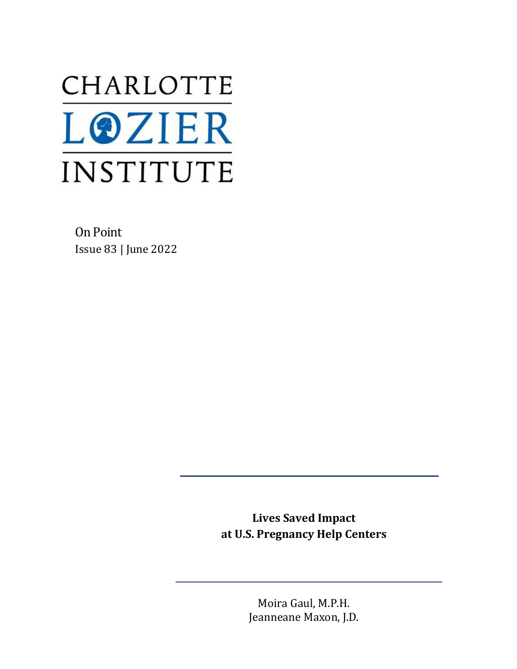# CHARLOTTE **LOZIER** INSTITUTE

On Point Issue 83 | June 2022

> **Lives Saved Impact at U.S. Pregnancy Help Centers**

> > Moira Gaul, M.P.H. Jeanneane Maxon, J.D.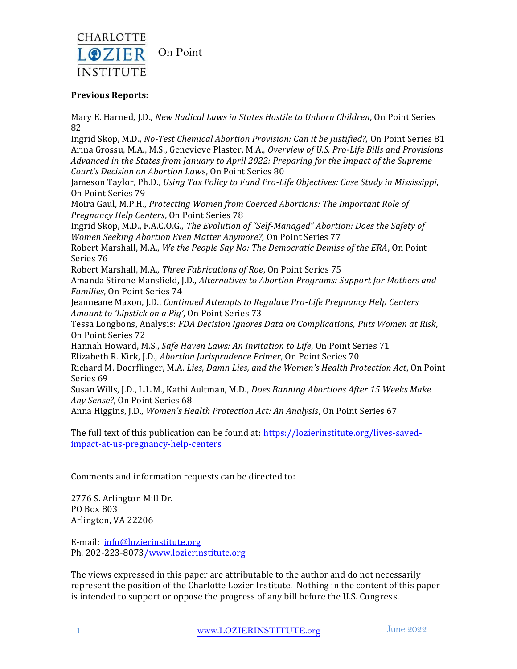

## On Point

#### **Previous Reports:**

Mary E. Harned, J.D., *New Radical Laws in States Hostile to Unborn Children*, On Point Series 82

Ingrid Skop, M.D., *No-Test Chemical Abortion Provision: Can it be Justified?,* On Point Series 81 Arina Grossu, M.A., M.S., Genevieve Plaster, M.A., *Overview of U.S. Pro-Life Bills and Provisions Advanced in the States from January to April 2022: Preparing for the Impact of the Supreme Court's Decision on Abortion Law*s, On Point Series 80

Jameson Taylor, Ph.D., *Using Tax Policy to Fund Pro-Life Objectives: Case Study in Mississippi,*  On Point Series 79

Moira Gaul, M.P.H., *Protecting Women from Coerced Abortions: The Important Role of Pregnancy Help Centers*, On Point Series 78

Ingrid Skop, M.D., F.A.C.O.G., *The Evolution of "Self-Managed" Abortion: Does the Safety of Women Seeking Abortion Even Matter Anymore?,* On Point Series 77

Robert Marshall, M.A., *We the People Say No: The Democratic Demise of the ERA*, On Point Series 76

Robert Marshall, M.A., *Three Fabrications of Roe*, On Point Series 75

Amanda Stirone Mansfield, J.D., *Alternatives to Abortion Programs: Support for Mothers and Families*, On Point Series 74

Jeanneane Maxon, J.D., *Continued Attempts to Regulate Pro-Life Pregnancy Help Centers Amount to 'Lipstick on a Pig'*, On Point Series 73

Tessa Longbons, Analysis: *FDA Decision Ignores Data on Complications, Puts Women at Risk*, On Point Series 72

Hannah Howard, M.S., *Safe Haven Laws: An Invitation to Life*, On Point Series 71 Elizabeth R. Kirk, J.D., *Abortion Jurisprudence Primer*, On Point Series 70

Richard M. Doerflinger, M.A. *Lies, Damn Lies, and the Women's Health Protection Act*, On Point Series 69

Susan Wills, J.D., L.L.M., Kathi Aultman, M.D., *Does Banning Abortions After 15 Weeks Make Any Sense?*, On Point Series 68

Anna Higgins, J.D., *Women's Health Protection Act: An Analysis*, On Point Series 67

The full text of this publication can be found at: [https://lozierinstitute.org/lives-saved](https://lozierinstitute.org/lives-saved-impact-at-us-pregnancy-help-centers)[impact-at-us-pregnancy-help-centers](https://lozierinstitute.org/lives-saved-impact-at-us-pregnancy-help-centers)

Comments and information requests can be directed to:

2776 S. Arlington Mill Dr. PO Box 803 Arlington, VA 22206

E-mail: [info@lozierinstitute.org](mailto:info@lozierinstitute.org) Ph. 202-223-807[3/www.lozierinstitute.org](http://www.lozierinstitute.org/)

The views expressed in this paper are attributable to the author and do not necessarily represent the position of the Charlotte Lozier Institute. Nothing in the content of this paper is intended to support or oppose the progress of any bill before the U.S. Congress.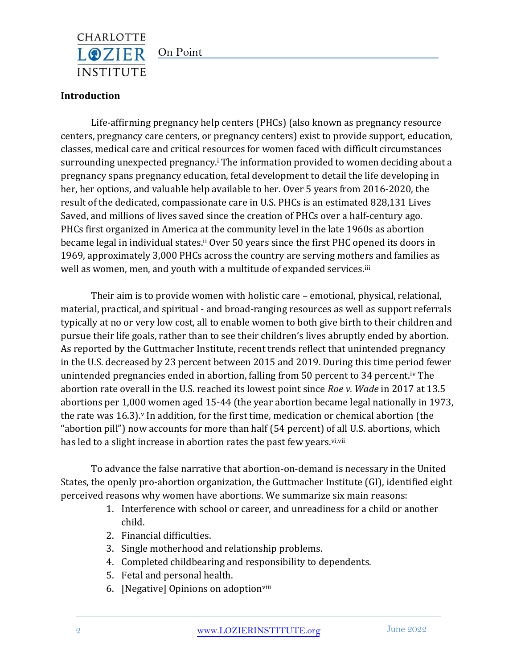

## On Point

## **Introduction**

Life-affirming pregnancy help centers (PHCs) (also known as pregnancy resource centers, pregnancy care centers, or pregnancy centers) exist to provide support, education, classes, medical care and critical resources for women faced with difficult circumstances surrounding unexpected pregnancy.<sup>i</sup> The information provided to women deciding about a pregnancy spans pregnancy education, fetal development to detail the life developing in her, her options, and valuable help available to her. Over 5 years from 2016-2020, the result of the dedicated, compassionate care in U.S. PHCs is an estimated 828,131 Lives Saved, and millions of lives saved since the creation of PHCs over a half-century ago. PHCs first organized in America at the community level in the late 1960s as abortion became legal in individual states.<sup>ii</sup> Over 50 years since the first PHC opened its doors in 1969, approximately 3,000 PHCs across the country are serving mothers and families as well as women, men, and youth with a multitude of expanded services.<sup>iii</sup>

Their aim is to provide women with holistic care – emotional, physical, relational, material, practical, and spiritual - and broad-ranging resources as well as support referrals typically at no or very low cost, all to enable women to both give birth to their children and pursue their life goals, rather than to see their children's lives abruptly ended by abortion. As reported by the Guttmacher Institute, recent trends reflect that unintended pregnancy in the U.S. decreased by 23 percent between 2015 and 2019. During this time period fewer unintended pregnancies ended in abortion, falling from 50 percent to 34 percent.iv The abortion rate overall in the U.S. reached its lowest point since *Roe v. Wade* in 2017 at 13.5 abortions per 1,000 women aged 15-44 (the year abortion became legal nationally in 1973, the rate was  $16.3$ ).<sup>v</sup> In addition, for the first time, medication or chemical abortion (the "abortion pill") now accounts for more than half (54 percent) of all U.S. abortions, which has led to a slight increase in abortion rates the past few years.<sup>vi,vii</sup>

To advance the false narrative that abortion-on-demand is necessary in the United States, the openly pro-abortion organization, the Guttmacher Institute (GI), identified eight perceived reasons why women have abortions. We summarize six main reasons:

- 1. Interference with school or career, and unreadiness for a child or another child.
- 2. Financial difficulties.
- 3. Single motherhood and relationship problems.
- 4. Completed childbearing and responsibility to dependents.
- 5. Fetal and personal health.
- 6. [Negative] Opinions on adoptionviii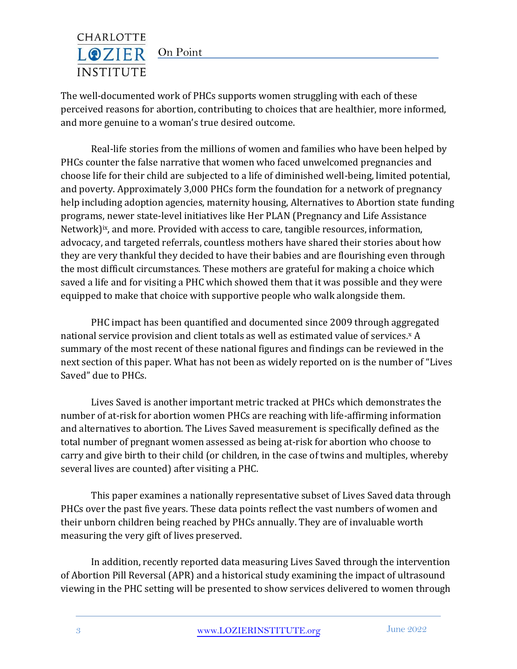

The well-documented work of PHCs supports women struggling with each of these perceived reasons for abortion, contributing to choices that are healthier, more informed, and more genuine to a woman's true desired outcome.

Real-life stories from the millions of women and families who have been helped by PHCs counter the false narrative that women who faced unwelcomed pregnancies and choose life for their child are subjected to a life of diminished well-being, limited potential, and poverty. Approximately 3,000 PHCs form the foundation for a network of pregnancy help including adoption agencies, maternity housing, Alternatives to Abortion state funding programs, newer state-level initiatives like Her PLAN (Pregnancy and Life Assistance Network)<sup>ix</sup>, and more. Provided with access to care, tangible resources, information, advocacy, and targeted referrals, countless mothers have shared their stories about how they are very thankful they decided to have their babies and are flourishing even through the most difficult circumstances. These mothers are grateful for making a choice which saved a life and for visiting a PHC which showed them that it was possible and they were equipped to make that choice with supportive people who walk alongside them.

PHC impact has been quantified and documented since 2009 through aggregated national service provision and client totals as well as estimated value of services.<sup>x</sup> A summary of the most recent of these national figures and findings can be reviewed in the next section of this paper. What has not been as widely reported on is the number of "Lives Saved" due to PHCs.

Lives Saved is another important metric tracked at PHCs which demonstrates the number of at-risk for abortion women PHCs are reaching with life-affirming information and alternatives to abortion. The Lives Saved measurement is specifically defined as the total number of pregnant women assessed as being at-risk for abortion who choose to carry and give birth to their child (or children, in the case of twins and multiples, whereby several lives are counted) after visiting a PHC.

This paper examines a nationally representative subset of Lives Saved data through PHCs over the past five years. These data points reflect the vast numbers of women and their unborn children being reached by PHCs annually. They are of invaluable worth measuring the very gift of lives preserved.

In addition, recently reported data measuring Lives Saved through the intervention of Abortion Pill Reversal (APR) and a historical study examining the impact of ultrasound viewing in the PHC setting will be presented to show services delivered to women through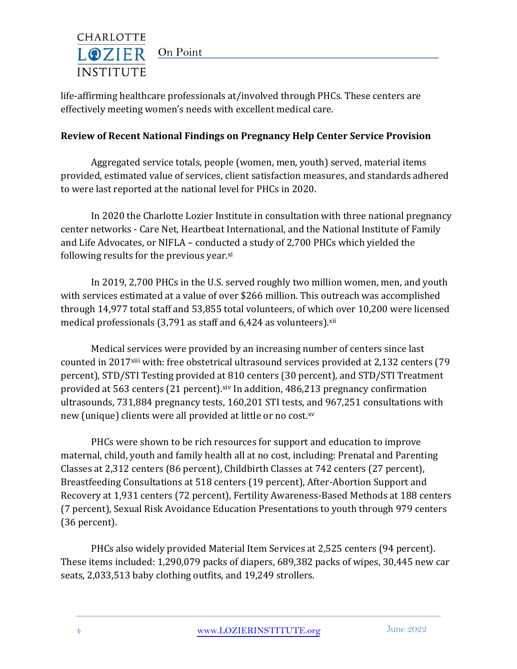

life-affirming healthcare professionals at/involved through PHCs. These centers are effectively meeting women's needs with excellent medical care.

## **Review of Recent National Findings on Pregnancy Help Center Service Provision**

Aggregated service totals, people (women, men, youth) served, material items provided, estimated value of services, client satisfaction measures, and standards adhered to were last reported at the national level for PHCs in 2020.

In 2020 the Charlotte Lozier Institute in consultation with three national pregnancy center networks - Care Net, Heartbeat International, and the National Institute of Family and Life Advocates, or NIFLA – conducted a study of 2,700 PHCs which yielded the following results for the previous year.<sup>xi</sup>

In 2019, 2,700 PHCs in the U.S. served roughly two million women, men, and youth with services estimated at a value of over \$266 million. This outreach was accomplished through 14,977 total staff and 53,855 total volunteers, of which over 10,200 were licensed medical professionals  $(3,791$  as staff and  $6,424$  as volunteers). $xii$ 

Medical services were provided by an increasing number of centers since last counted in 2017xiii with: free obstetrical ultrasound services provided at 2,132 centers (79 percent), STD/STI Testing provided at 810 centers (30 percent), and STD/STI Treatment provided at 563 centers (21 percent).xiv In addition, 486,213 pregnancy confirmation ultrasounds, 731,884 pregnancy tests, 160,201 STI tests, and 967,251 consultations with new (unique) clients were all provided at little or no cost.xv

PHCs were shown to be rich resources for support and education to improve maternal, child, youth and family health all at no cost, including: Prenatal and Parenting Classes at 2,312 centers (86 percent), Childbirth Classes at 742 centers (27 percent), Breastfeeding Consultations at 518 centers (19 percent), After-Abortion Support and Recovery at 1,931 centers (72 percent), Fertility Awareness-Based Methods at 188 centers (7 percent), Sexual Risk Avoidance Education Presentations to youth through 979 centers (36 percent).

PHCs also widely provided Material Item Services at 2,525 centers (94 percent). These items included: 1,290,079 packs of diapers, 689,382 packs of wipes, 30,445 new car seats, 2,033,513 baby clothing outfits, and 19,249 strollers.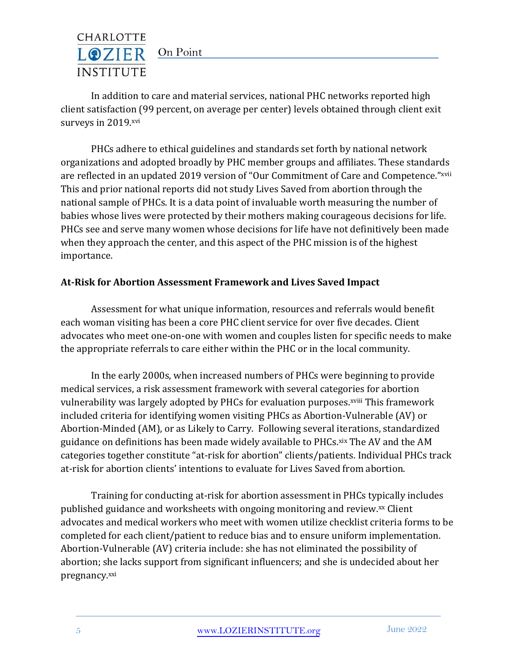## CHARLOTTE LOZIER On Point **INSTITUTE**

In addition to care and material services, national PHC networks reported high client satisfaction (99 percent, on average per center) levels obtained through client exit surveys in 2019.xvi

PHCs adhere to ethical guidelines and standards set forth by national network organizations and adopted broadly by PHC member groups and affiliates. These standards are reflected in an updated 2019 version of "Our Commitment of Care and Competence."xvii This and prior national reports did not study Lives Saved from abortion through the national sample of PHCs. It is a data point of invaluable worth measuring the number of babies whose lives were protected by their mothers making courageous decisions for life. PHCs see and serve many women whose decisions for life have not definitively been made when they approach the center, and this aspect of the PHC mission is of the highest importance.

## **At-Risk for Abortion Assessment Framework and Lives Saved Impact**

Assessment for what unique information, resources and referrals would benefit each woman visiting has been a core PHC client service for over five decades. Client advocates who meet one-on-one with women and couples listen for specific needs to make the appropriate referrals to care either within the PHC or in the local community.

In the early 2000s, when increased numbers of PHCs were beginning to provide medical services, a risk assessment framework with several categories for abortion vulnerability was largely adopted by PHCs for evaluation purposes.<sup>xviii</sup> This framework included criteria for identifying women visiting PHCs as Abortion-Vulnerable (AV) or Abortion-Minded (AM), or as Likely to Carry. Following several iterations, standardized guidance on definitions has been made widely available to PHCs.xix The AV and the AM categories together constitute "at-risk for abortion" clients/patients. Individual PHCs track at-risk for abortion clients' intentions to evaluate for Lives Saved from abortion.

Training for conducting at-risk for abortion assessment in PHCs typically includes published guidance and worksheets with ongoing monitoring and review.xx Client advocates and medical workers who meet with women utilize checklist criteria forms to be completed for each client/patient to reduce bias and to ensure uniform implementation. Abortion-Vulnerable (AV) criteria include: she has not eliminated the possibility of abortion; she lacks support from significant influencers; and she is undecided about her pregnancy.xxi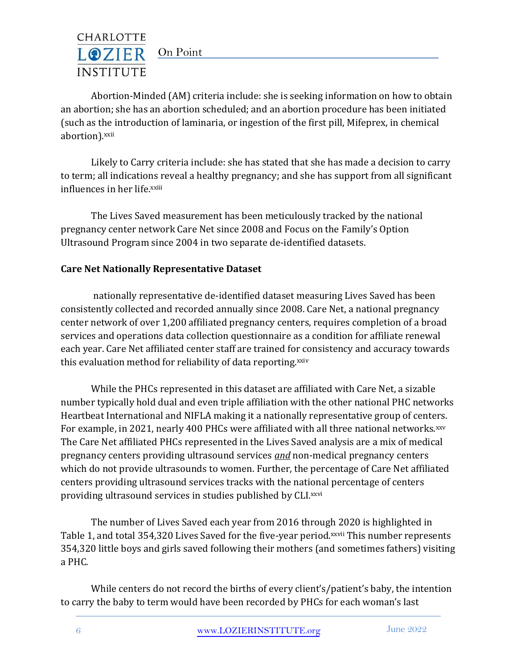

Abortion-Minded (AM) criteria include: she is seeking information on how to obtain an abortion; she has an abortion scheduled; and an abortion procedure has been initiated (such as the introduction of laminaria, or ingestion of the first pill, Mifeprex, in chemical abortion).xxii

Likely to Carry criteria include: she has stated that she has made a decision to carry to term; all indications reveal a healthy pregnancy; and she has support from all significant influences in her life.xxiii

The Lives Saved measurement has been meticulously tracked by the national pregnancy center network Care Net since 2008 and Focus on the Family's Option Ultrasound Program since 2004 in two separate de-identified datasets.

## **Care Net Nationally Representative Dataset**

nationally representative de-identified dataset measuring Lives Saved has been consistently collected and recorded annually since 2008. Care Net, a national pregnancy center network of over 1,200 affiliated pregnancy centers, requires completion of a broad services and operations data collection questionnaire as a condition for affiliate renewal each year. Care Net affiliated center staff are trained for consistency and accuracy towards this evaluation method for reliability of data reporting.xxiv

While the PHCs represented in this dataset are affiliated with Care Net, a sizable number typically hold dual and even triple affiliation with the other national PHC networks Heartbeat International and NIFLA making it a nationally representative group of centers. For example, in 2021, nearly 400 PHCs were affiliated with all three national networks.xxv The Care Net affiliated PHCs represented in the Lives Saved analysis are a mix of medical pregnancy centers providing ultrasound services *and* non-medical pregnancy centers which do not provide ultrasounds to women. Further, the percentage of Care Net affiliated centers providing ultrasound services tracks with the national percentage of centers providing ultrasound services in studies published by CLI.xxvi

The number of Lives Saved each year from 2016 through 2020 is highlighted in Table 1, and total 354,320 Lives Saved for the five-year period.xxvii This number represents 354,320 little boys and girls saved following their mothers (and sometimes fathers) visiting a PHC.

While centers do not record the births of every client's/patient's baby, the intention to carry the baby to term would have been recorded by PHCs for each woman's last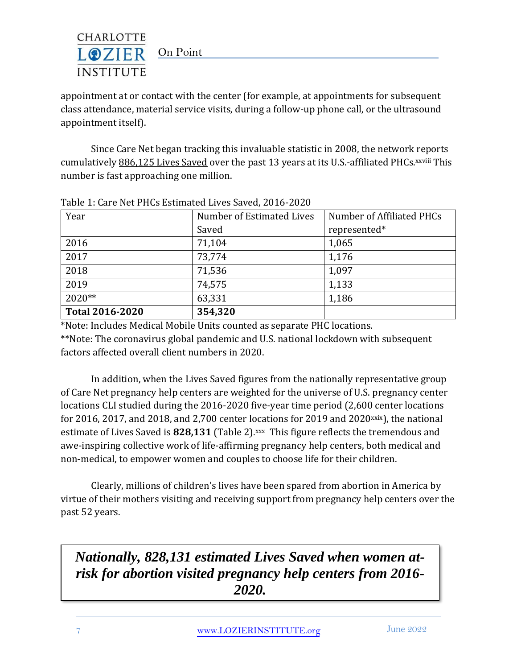

appointment at or contact with the center (for example, at appointments for subsequent class attendance, material service visits, during a follow-up phone call, or the ultrasound appointment itself).

Since Care Net began tracking this invaluable statistic in 2008, the network reports cumulatively 886,125 Lives Saved over the past 13 years at its U.S.-affiliated PHCs. xxviii This number is fast approaching one million.

| Year                   | Number of Estimated Lives | Number of Affiliated PHCs |
|------------------------|---------------------------|---------------------------|
|                        | Saved                     | represented*              |
| 2016                   | 71,104                    | 1,065                     |
| 2017                   | 73,774                    | 1,176                     |
| 2018                   | 71,536                    | 1,097                     |
| 2019                   | 74,575                    | 1,133                     |
| $2020**$               | 63,331                    | 1,186                     |
| <b>Total 2016-2020</b> | 354,320                   |                           |

Table 1: Care Net PHCs Estimated Lives Saved, 2016-2020

\*Note: Includes Medical Mobile Units counted as separate PHC locations. \*\*Note: The coronavirus global pandemic and U.S. national lockdown with subsequent factors affected overall client numbers in 2020.

In addition, when the Lives Saved figures from the nationally representative group of Care Net pregnancy help centers are weighted for the universe of U.S. pregnancy center locations CLI studied during the 2016-2020 five-year time period (2,600 center locations for 2016, 2017, and 2018, and 2,700 center locations for 2019 and 2020 $x$ ix), the national estimate of Lives Saved is 828,131 (Table 2).<sup>xxx</sup> This figure reflects the tremendous and awe-inspiring collective work of life-affirming pregnancy help centers, both medical and non-medical, to empower women and couples to choose life for their children.

Clearly, millions of children's lives have been spared from abortion in America by virtue of their mothers visiting and receiving support from pregnancy help centers over the past 52 years.

# *Nationally, 828,131 estimated Lives Saved when women atrisk for abortion visited pregnancy help centers from 2016- 2020.*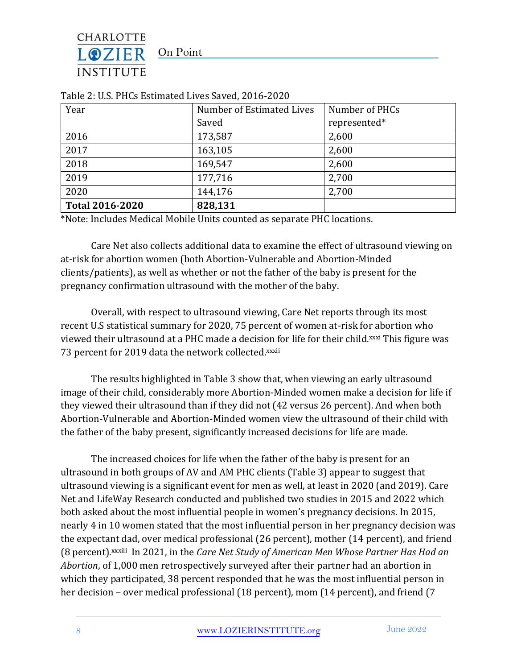On Point

CHARLOTTE LOZIER

**INSTITUTE** 

| Year                   | Number of Estimated Lives | Number of PHCs |
|------------------------|---------------------------|----------------|
|                        | Saved                     | represented*   |
| 2016                   | 173,587                   | 2,600          |
| 2017                   | 163,105                   | 2,600          |
| 2018                   | 169,547                   | 2,600          |
| 2019                   | 177,716                   | 2,700          |
| 2020                   | 144,176                   | 2,700          |
| <b>Total 2016-2020</b> | 828,131                   |                |

Table 2: U.S. PHCs Estimated Lives Saved, 2016-2020

\*Note: Includes Medical Mobile Units counted as separate PHC locations.

Care Net also collects additional data to examine the effect of ultrasound viewing on at-risk for abortion women (both Abortion-Vulnerable and Abortion-Minded clients/patients), as well as whether or not the father of the baby is present for the pregnancy confirmation ultrasound with the mother of the baby.

Overall, with respect to ultrasound viewing, Care Net reports through its most recent U.S statistical summary for 2020, 75 percent of women at-risk for abortion who viewed their ultrasound at a PHC made a decision for life for their child.<sup>xxxi</sup> This figure was 73 percent for 2019 data the network collected.xxxii

The results highlighted in Table 3 show that, when viewing an early ultrasound image of their child, considerably more Abortion-Minded women make a decision for life if they viewed their ultrasound than if they did not (42 versus 26 percent). And when both Abortion-Vulnerable and Abortion-Minded women view the ultrasound of their child with the father of the baby present, significantly increased decisions for life are made.

The increased choices for life when the father of the baby is present for an ultrasound in both groups of AV and AM PHC clients (Table 3) appear to suggest that ultrasound viewing is a significant event for men as well, at least in 2020 (and 2019). Care Net and LifeWay Research conducted and published two studies in 2015 and 2022 which both asked about the most influential people in women's pregnancy decisions. In 2015, nearly 4 in 10 women stated that the most influential person in her pregnancy decision was the expectant dad, over medical professional (26 percent), mother (14 percent), and friend (8 percent).xxxiii In 2021, in the *Care Net Study of American Men Whose Partner Has Had an Abortion*, of 1,000 men retrospectively surveyed after their partner had an abortion in which they participated, 38 percent responded that he was the most influential person in her decision – over medical professional (18 percent), mom (14 percent), and friend (7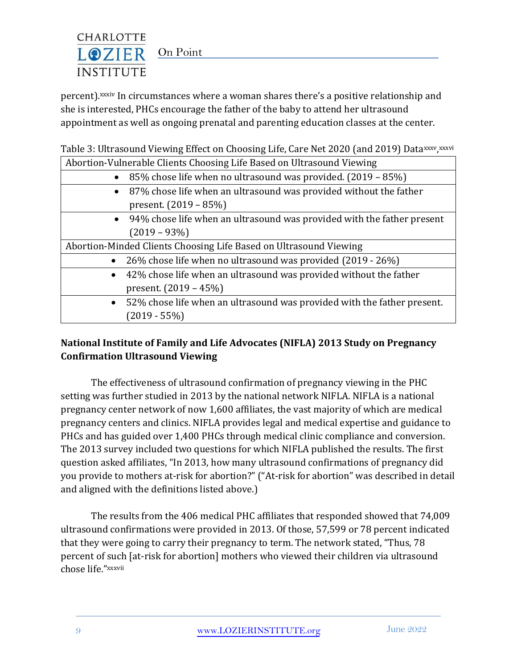

percent).xxxiv In circumstances where a woman shares there's a positive relationship and she is interested, PHCs encourage the father of the baby to attend her ultrasound appointment as well as ongoing prenatal and parenting education classes at the center.

Table 3: Ultrasound Viewing Effect on Choosing Life, Care Net 2020 (and 2019) Data<sup>xxxv</sup>, <sup>xxxvi</sup>

| Abortion-Vulnerable Clients Choosing Life Based on Ultrasound Viewing |                                                                         |  |
|-----------------------------------------------------------------------|-------------------------------------------------------------------------|--|
| $\bullet$                                                             | 85% chose life when no ultrasound was provided. (2019 – 85%)            |  |
| $\bullet$                                                             | 87% chose life when an ultrasound was provided without the father       |  |
|                                                                       | present. $(2019 - 85%)$                                                 |  |
| $\bullet$                                                             | 94% chose life when an ultrasound was provided with the father present  |  |
|                                                                       | $(2019 - 93\%)$                                                         |  |
| Abortion-Minded Clients Choosing Life Based on Ultrasound Viewing     |                                                                         |  |
| $\bullet$                                                             | 26% chose life when no ultrasound was provided (2019 - 26%)             |  |
| $\bullet$                                                             | 42% chose life when an ultrasound was provided without the father       |  |
|                                                                       | present. $(2019 - 45%)$                                                 |  |
| $\bullet$                                                             | 52% chose life when an ultrasound was provided with the father present. |  |
|                                                                       | $(2019 - 55%)$                                                          |  |

# **National Institute of Family and Life Advocates (NIFLA) 2013 Study on Pregnancy Confirmation Ultrasound Viewing**

The effectiveness of ultrasound confirmation of pregnancy viewing in the PHC setting was further studied in 2013 by the national network NIFLA. NIFLA is a national pregnancy center network of now 1,600 affiliates, the vast majority of which are medical pregnancy centers and clinics. NIFLA provides legal and medical expertise and guidance to PHCs and has guided over 1,400 PHCs through medical clinic compliance and conversion. The 2013 survey included two questions for which NIFLA published the results. The first question asked affiliates, "In 2013, how many ultrasound confirmations of pregnancy did you provide to mothers at-risk for abortion?" ("At-risk for abortion" was described in detail and aligned with the definitions listed above.)

The results from the 406 medical PHC affiliates that responded showed that 74,009 ultrasound confirmations were provided in 2013. Of those, 57,599 or 78 percent indicated that they were going to carry their pregnancy to term. The network stated, "Thus, 78 percent of such [at-risk for abortion] mothers who viewed their children via ultrasound chose life."xxxvii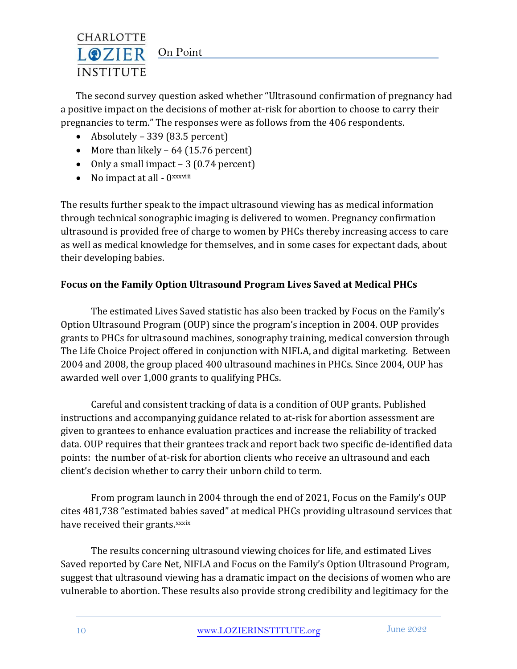## CHARLOTTE LOZIER On Point **INSTITUTE**

The second survey question asked whether "Ultrasound confirmation of pregnancy had a positive impact on the decisions of mother at-risk for abortion to choose to carry their pregnancies to term." The responses were as follows from the 406 respondents.

- Absolutely 339 (83.5 percent)
- More than likely  $-64$  (15.76 percent)
- Only a small impact 3 (0.74 percent)
- No impact at all  $-0$ <sup>xxxviii</sup>

The results further speak to the impact ultrasound viewing has as medical information through technical sonographic imaging is delivered to women. Pregnancy confirmation ultrasound is provided free of charge to women by PHCs thereby increasing access to care as well as medical knowledge for themselves, and in some cases for expectant dads, about their developing babies.

# **Focus on the Family Option Ultrasound Program Lives Saved at Medical PHCs**

The estimated Lives Saved statistic has also been tracked by Focus on the Family's Option Ultrasound Program (OUP) since the program's inception in 2004. OUP provides grants to PHCs for ultrasound machines, sonography training, medical conversion through The Life Choice Project offered in conjunction with NIFLA, and digital marketing. Between 2004 and 2008, the group placed 400 ultrasound machines in PHCs. Since 2004, OUP has awarded well over 1,000 grants to qualifying PHCs.

Careful and consistent tracking of data is a condition of OUP grants. Published instructions and accompanying guidance related to at-risk for abortion assessment are given to grantees to enhance evaluation practices and increase the reliability of tracked data. OUP requires that their grantees track and report back two specific de-identified data points: the number of at-risk for abortion clients who receive an ultrasound and each client's decision whether to carry their unborn child to term.

From program launch in 2004 through the end of 2021, Focus on the Family's OUP cites 481,738 "estimated babies saved" at medical PHCs providing ultrasound services that have received their grants.xxxix

The results concerning ultrasound viewing choices for life, and estimated Lives Saved reported by Care Net, NIFLA and Focus on the Family's Option Ultrasound Program, suggest that ultrasound viewing has a dramatic impact on the decisions of women who are vulnerable to abortion. These results also provide strong credibility and legitimacy for the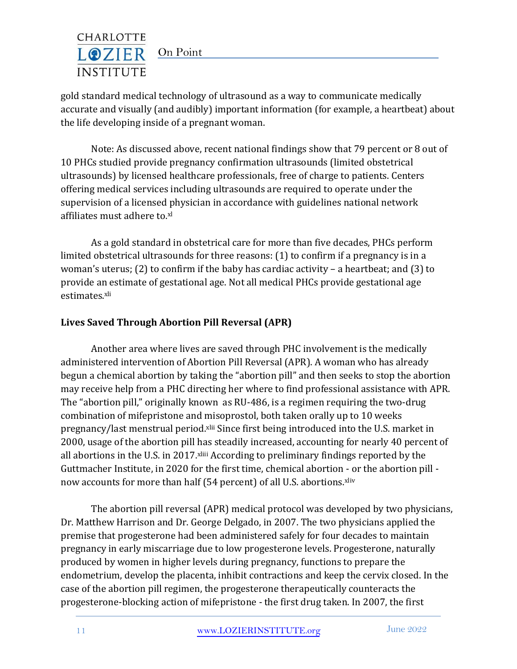## CHARLOTTE LOZIER On Point **INSTITUTE**

gold standard medical technology of ultrasound as a way to communicate medically accurate and visually (and audibly) important information (for example, a heartbeat) about the life developing inside of a pregnant woman.

Note: As discussed above, recent national findings show that 79 percent or 8 out of 10 PHCs studied provide pregnancy confirmation ultrasounds (limited obstetrical ultrasounds) by licensed healthcare professionals, free of charge to patients. Centers offering medical services including ultrasounds are required to operate under the supervision of a licensed physician in accordance with guidelines national network affiliates must adhere to.xl

As a gold standard in obstetrical care for more than five decades, PHCs perform limited obstetrical ultrasounds for three reasons: (1) to confirm if a pregnancy is in a woman's uterus; (2) to confirm if the baby has cardiac activity – a heartbeat; and (3) to provide an estimate of gestational age. Not all medical PHCs provide gestational age estimates.xli

# **Lives Saved Through Abortion Pill Reversal (APR)**

Another area where lives are saved through PHC involvement is the medically administered intervention of Abortion Pill Reversal (APR). A woman who has already begun a chemical abortion by taking the "abortion pill" and then seeks to stop the abortion may receive help from a PHC directing her where to find professional assistance with APR. The "abortion pill," originally known as RU-486, is a regimen requiring the two-drug combination of mifepristone and misoprostol, both taken orally up to 10 weeks pregnancy/last menstrual period.<sup>xlii</sup> Since first being introduced into the U.S. market in 2000, usage of the abortion pill has steadily increased, accounting for nearly 40 percent of all abortions in the U.S. in 2017. xliii According to preliminary findings reported by the Guttmacher Institute, in 2020 for the first time, chemical abortion - or the abortion pill now accounts for more than half (54 percent) of all U.S. abortions. xliv

The abortion pill reversal (APR) medical protocol was developed by two physicians, Dr. Matthew Harrison and Dr. George Delgado, in 2007. The two physicians applied the premise that progesterone had been administered safely for four decades to maintain pregnancy in early miscarriage due to low progesterone levels. Progesterone, naturally produced by women in higher levels during pregnancy, functions to prepare the endometrium, develop the placenta, inhibit contractions and keep the cervix closed. In the case of the abortion pill regimen, the progesterone therapeutically counteracts the progesterone-blocking action of mifepristone - the first drug taken. In 2007, the first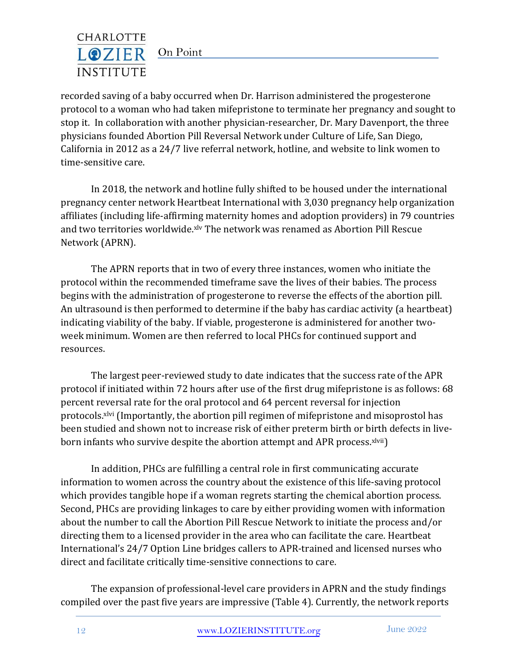

recorded saving of a baby occurred when Dr. Harrison administered the progesterone protocol to a woman who had taken mifepristone to terminate her pregnancy and sought to stop it. In collaboration with another physician-researcher, Dr. Mary Davenport, the three physicians founded Abortion Pill Reversal Network under Culture of Life, San Diego, California in 2012 as a 24/7 live referral network, hotline, and website to link women to time-sensitive care.

In 2018, the network and hotline fully shifted to be housed under the international pregnancy center network Heartbeat International with 3,030 pregnancy help organization affiliates (including life-affirming maternity homes and adoption providers) in 79 countries and two territories worldwide.<sup>xlv</sup> The network was renamed as Abortion Pill Rescue Network (APRN).

The APRN reports that in two of every three instances, women who initiate the protocol within the recommended timeframe save the lives of their babies. The process begins with the administration of progesterone to reverse the effects of the abortion pill. An ultrasound is then performed to determine if the baby has cardiac activity (a heartbeat) indicating viability of the baby. If viable, progesterone is administered for another twoweek minimum. Women are then referred to local PHCs for continued support and resources.

The largest peer-reviewed study to date indicates that the success rate of the APR protocol if initiated within 72 hours after use of the first drug mifepristone is as follows: 68 percent reversal rate for the oral protocol and 64 percent reversal for injection protocols.<sup>xlvi</sup> (Importantly, the abortion pill regimen of mifepristone and misoprostol has been studied and shown not to increase risk of either preterm birth or birth defects in liveborn infants who survive despite the abortion attempt and APR process.<sup>xlvii</sup>)

In addition, PHCs are fulfilling a central role in first communicating accurate information to women across the country about the existence of this life-saving protocol which provides tangible hope if a woman regrets starting the chemical abortion process. Second, PHCs are providing linkages to care by either providing women with information about the number to call the Abortion Pill Rescue Network to initiate the process and/or directing them to a licensed provider in the area who can facilitate the care. Heartbeat International's 24/7 Option Line bridges callers to APR-trained and licensed nurses who direct and facilitate critically time-sensitive connections to care.

The expansion of professional-level care providers in APRN and the study findings compiled over the past five years are impressive (Table 4). Currently, the network reports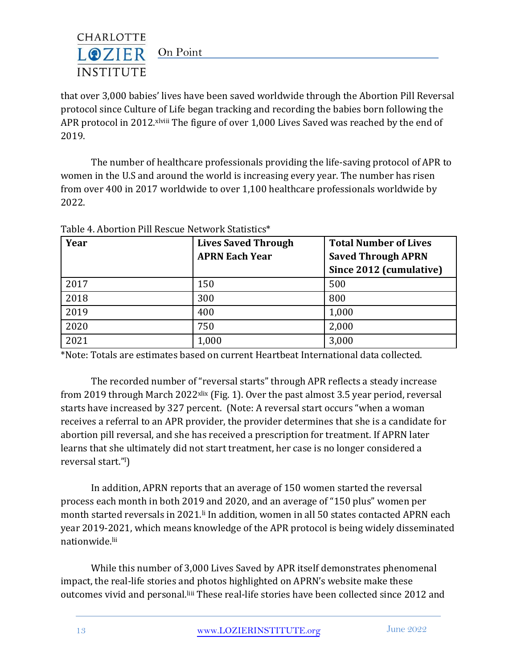

that over 3,000 babies' lives have been saved worldwide through the Abortion Pill Reversal protocol since Culture of Life began tracking and recording the babies born following the APR protocol in 2012. xlviii The figure of over 1,000 Lives Saved was reached by the end of 2019.

The number of healthcare professionals providing the life-saving protocol of APR to women in the U.S and around the world is increasing every year. The number has risen from over 400 in 2017 worldwide to over 1,100 healthcare professionals worldwide by 2022.

| Year | <b>Lives Saved Through</b> | <b>Total Number of Lives</b> |
|------|----------------------------|------------------------------|
|      | <b>APRN Each Year</b>      | <b>Saved Through APRN</b>    |
|      |                            | Since 2012 (cumulative)      |
| 2017 | 150                        | 500                          |
| 2018 | 300                        | 800                          |
| 2019 | 400                        | 1,000                        |
| 2020 | 750                        | 2,000                        |
| 2021 | 1,000                      | 3,000                        |

Table 4. Abortion Pill Rescue Network Statistics\*

\*Note: Totals are estimates based on current Heartbeat International data collected.

The recorded number of "reversal starts" through APR reflects a steady increase from 2019 through March 2022<sup>xlix</sup> (Fig. 1). Over the past almost 3.5 year period, reversal starts have increased by 327 percent. (Note: A reversal start occurs "when a woman receives a referral to an APR provider, the provider determines that she is a candidate for abortion pill reversal, and she has received a prescription for treatment. If APRN later learns that she ultimately did not start treatment, her case is no longer considered a reversal start."l)

In addition, APRN reports that an average of 150 women started the reversal process each month in both 2019 and 2020, and an average of "150 plus" women per month started reversals in 2021.<sup>li</sup> In addition, women in all 50 states contacted APRN each year 2019-2021, which means knowledge of the APR protocol is being widely disseminated nationwide.lii

While this number of 3,000 Lives Saved by APR itself demonstrates phenomenal impact, the real-life stories and photos highlighted on APRN's website make these outcomes vivid and personal.liii These real-life stories have been collected since 2012 and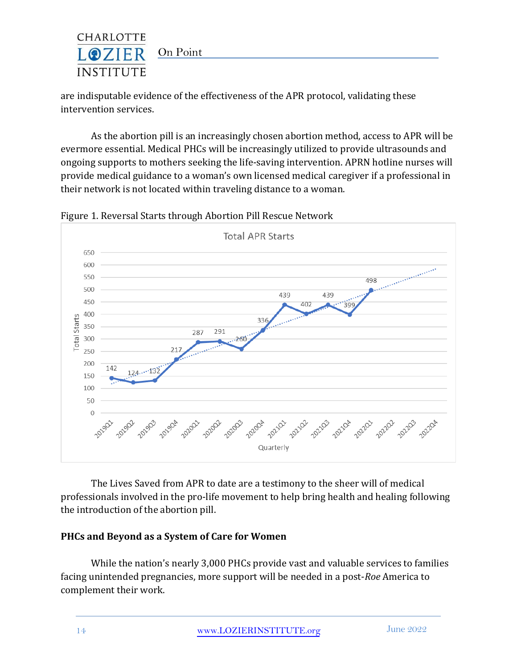

are indisputable evidence of the effectiveness of the APR protocol, validating these intervention services.

As the abortion pill is an increasingly chosen abortion method, access to APR will be evermore essential. Medical PHCs will be increasingly utilized to provide ultrasounds and ongoing supports to mothers seeking the life-saving intervention. APRN hotline nurses will provide medical guidance to a woman's own licensed medical caregiver if a professional in their network is not located within traveling distance to a woman.



Figure 1. Reversal Starts through Abortion Pill Rescue Network

The Lives Saved from APR to date are a testimony to the sheer will of medical professionals involved in the pro-life movement to help bring health and healing following the introduction of the abortion pill.

## **PHCs and Beyond as a System of Care for Women**

While the nation's nearly 3,000 PHCs provide vast and valuable services to families facing unintended pregnancies, more support will be needed in a post-*Roe* America to complement their work.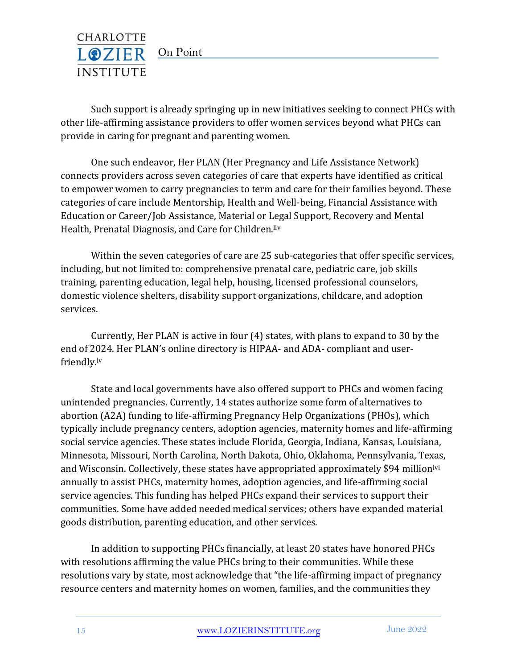

Such support is already springing up in new initiatives seeking to connect PHCs with other life-affirming assistance providers to offer women services beyond what PHCs can provide in caring for pregnant and parenting women.

One such endeavor, Her PLAN (Her Pregnancy and Life Assistance Network) connects providers across seven categories of care that experts have identified as critical to empower women to carry pregnancies to term and care for their families beyond. These categories of care include Mentorship, Health and Well-being, Financial Assistance with Education or Career/Job Assistance, Material or Legal Support, Recovery and Mental Health, Prenatal Diagnosis, and Care for Children.liv

Within the seven categories of care are 25 sub-categories that offer specific services, including, but not limited to: comprehensive prenatal care, pediatric care, job skills training, parenting education, legal help, housing, licensed professional counselors, domestic violence shelters, disability support organizations, childcare, and adoption services.

Currently, Her PLAN is active in four (4) states, with plans to expand to 30 by the end of 2024. Her PLAN's online directory is HIPAA- and ADA- compliant and userfriendly.lv

State and local governments have also offered support to PHCs and women facing unintended pregnancies. Currently, 14 states authorize some form of alternatives to abortion (A2A) funding to life-affirming Pregnancy Help Organizations (PHOs), which typically include pregnancy centers, adoption agencies, maternity homes and life-affirming social service agencies. These states include Florida, Georgia, Indiana, Kansas, Louisiana, Minnesota, Missouri, North Carolina, North Dakota, Ohio, Oklahoma, Pennsylvania, Texas, and Wisconsin. Collectively, these states have appropriated approximately \$94 million<sup>lyi</sup> annually to assist PHCs, maternity homes, adoption agencies, and life-affirming social service agencies. This funding has helped PHCs expand their services to support their communities. Some have added needed medical services; others have expanded material goods distribution, parenting education, and other services.

In addition to supporting PHCs financially, at least 20 states have honored PHCs with resolutions affirming the value PHCs bring to their communities. While these resolutions vary by state, most acknowledge that "the life-affirming impact of pregnancy resource centers and maternity homes on women, families, and the communities they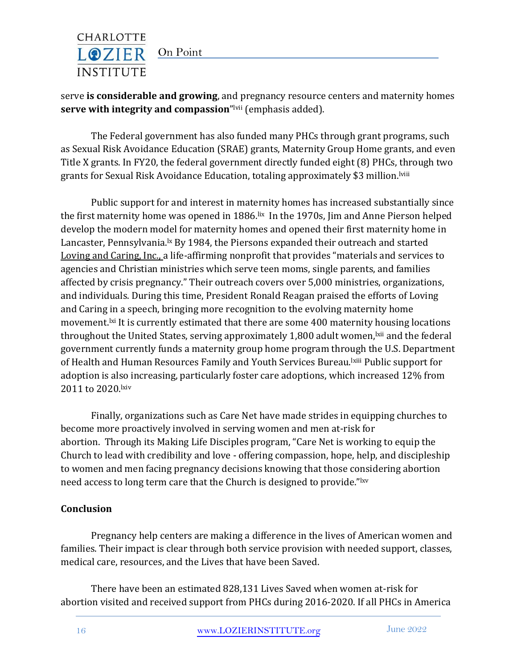

serve **is considerable and growing**, and pregnancy resource centers and maternity homes **serve with integrity and compassion**"<sup>Ivii</sup> (emphasis added).

The Federal government has also funded many PHCs through grant programs, such as Sexual Risk Avoidance Education (SRAE) grants, Maternity Group Home grants, and even Title X grants. In FY20, the federal government directly funded eight (8) PHCs, through two grants for Sexual Risk Avoidance Education, totaling approximately \$3 million.lviii

Public support for and interest in maternity homes has increased substantially since the first maternity home was opened in 1886. Ix In the 1970s, Jim and Anne Pierson helped develop the modern model for maternity homes and opened their first maternity home in Lancaster, Pennsylvania.<sup>1x</sup> By 1984, the Piersons expanded their outreach and started [Loving and Caring, Inc., a](http://www.lovingandcaring.org/) life-affirming nonprofit that provides "materials and services to agencies and Christian ministries which serve teen moms, single parents, and families affected by crisis pregnancy." Their outreach covers over 5,000 ministries, organizations, and individuals. During this time, President Ronald Reagan praised the efforts of Loving and Caring in a speech, bringing more recognition to the evolving maternity home movement.<sup>Ixi</sup> It is currently estimated that there are some 400 maternity housing locations throughout the United States, serving approximately 1,800 adult women, but and the federal government currently funds a maternity group home program through the U.S. Department of Health and Human Resources Family and Youth Services Bureau. Kiii Public support for adoption is also increasing, particularly foster care adoptions, which increased 12% from 2011 to 2020.lxiv

Finally, organizations such as Care Net have made strides in equipping churches to become more proactively involved in serving women and men at-risk for abortion. Through its Making Life Disciples program, "Care Net is working to equip the Church to lead with credibility and love - offering compassion, hope, help, and discipleship to women and men facing pregnancy decisions knowing that those considering abortion need access to long term care that the Church is designed to provide."lxv

## **Conclusion**

Pregnancy help centers are making a difference in the lives of American women and families. Their impact is clear through both service provision with needed support, classes, medical care, resources, and the Lives that have been Saved.

There have been an estimated 828,131 Lives Saved when women at-risk for abortion visited and received support from PHCs during 2016-2020. If all PHCs in America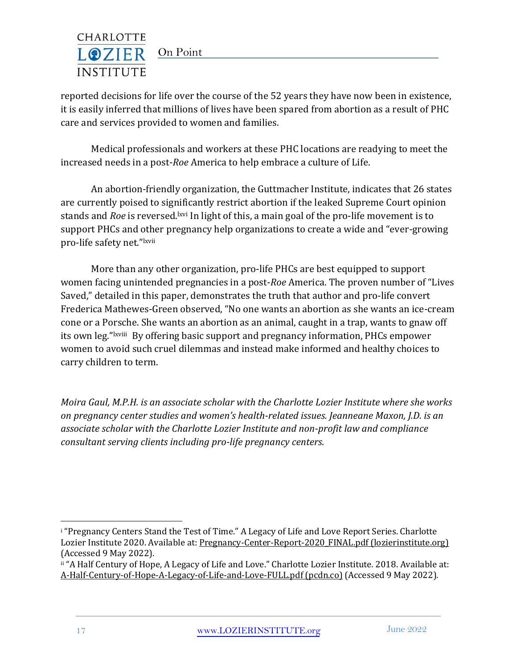

reported decisions for life over the course of the 52 years they have now been in existence, it is easily inferred that millions of lives have been spared from abortion as a result of PHC care and services provided to women and families.

Medical professionals and workers at these PHC locations are readying to meet the increased needs in a post-*Roe* America to help embrace a culture of Life.

An abortion-friendly organization, the Guttmacher Institute, indicates that 26 states are currently poised to significantly restrict abortion if the leaked Supreme Court opinion stands and *Roe* is reversed.<sup>lxvi</sup> In light of this, a main goal of the pro-life movement is to support PHCs and other pregnancy help organizations to create a wide and "ever-growing pro-life safety net."lxvii

More than any other organization, pro-life PHCs are best equipped to support women facing unintended pregnancies in a post-*Roe* America. The proven number of "Lives Saved," detailed in this paper, demonstrates the truth that author and pro-life convert Frederica Mathewes-Green observed, "No one wants an abortion as she wants an ice-cream cone or a Porsche. She wants an abortion as an animal, caught in a trap, wants to gnaw off its own leg."<sup>Ixviii</sup> By offering basic support and pregnancy information, PHCs empower women to avoid such cruel dilemmas and instead make informed and healthy choices to carry children to term.

*Moira Gaul, M.P.H. is an associate scholar with the Charlotte Lozier Institute where she works on pregnancy center studies and women's health-related issues. Jeanneane Maxon, J.D. is an associate scholar with the Charlotte Lozier Institute and non-profit law and compliance consultant serving clients including pro-life pregnancy centers.*

<sup>&</sup>lt;sup>i</sup> "Pregnancy Centers Stand the Test of Time." A Legacy of Life and Love Report Series. Charlotte Lozier Institute 2020. Available at: Pregnancy-Center-Report-2020 FINAL.pdf (lozierinstitute.org) (Accessed 9 May 2022).

ii "A Half Century of Hope, A Legacy of Life and Love." Charlotte Lozier Institute. 2018. Available at: [A-Half-Century-of-Hope-A-Legacy-of-Life-and-Love-FULL.pdf \(pcdn.co\)](https://s27589.pcdn.co/wp-content/uploads/2018/09/A-Half-Century-of-Hope-A-Legacy-of-Life-and-Love-FULL.pdf) (Accessed 9 May 2022).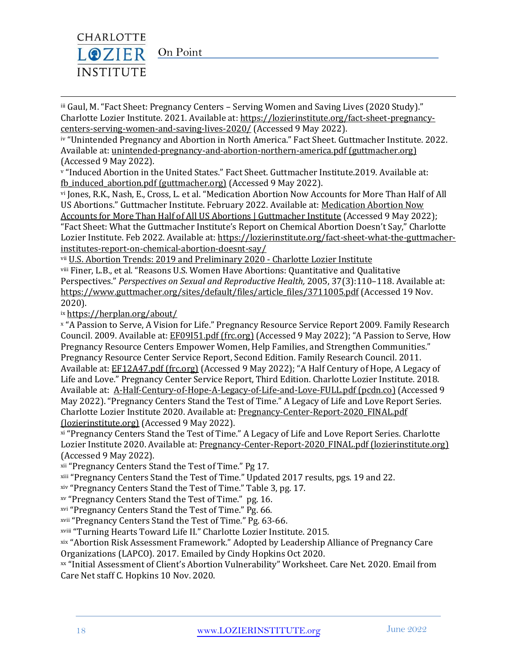

iii Gaul, M. "Fact Sheet: Pregnancy Centers - Serving Women and Saving Lives (2020 Study)." Charlotte Lozier Institute. 2021. Available at[: https://lozierinstitute.org/fact-sheet-pregnancy](https://lozierinstitute.org/fact-sheet-pregnancy-centers-serving-women-and-saving-lives-2020/)[centers-serving-women-and-saving-lives-2020/](https://lozierinstitute.org/fact-sheet-pregnancy-centers-serving-women-and-saving-lives-2020/) (Accessed 9 May 2022).

iv "Unintended Pregnancy and Abortion in North America." Fact Sheet. Guttmacher Institute. 2022. Available at[: unintended-pregnancy-and-abortion-northern-america.pdf \(guttmacher.org\)](https://www.guttmacher.org/sites/default/files/factsheet/unintended-pregnancy-and-abortion-northern-america.pdf) (Accessed 9 May 2022).

<sup>v</sup> "Induced Abortion in the United States." Fact Sheet. Guttmacher Institute.2019. Available at: [fb\\_induced\\_abortion.pdf \(guttmacher.org\)](https://www.guttmacher.org/sites/default/files/factsheet/fb_induced_abortion.pdf) (Accessed 9 May 2022).

vi Jones, R.K., Nash, E., Cross, L. et al. "Medication Abortion Now Accounts for More Than Half of All US Abortions." Guttmacher Institute. February 2022. Available at: [Medication Abortion Now](https://www.guttmacher.org/article/2022/02/medication-abortion-now-accounts-more-half-all-us-abortions)  [Accounts for More Than Half of All US Abortions | Guttmacher Institute](https://www.guttmacher.org/article/2022/02/medication-abortion-now-accounts-more-half-all-us-abortions) (Accessed 9 May 2022); "Fact Sheet: What the Guttmacher Institute's Report on Chemical Abortion Doesn't Say," Charlotte Lozier Institute. Feb 2022. Available at: [https://lozierinstitute.org/fact-sheet-what-the-guttmacher](https://lozierinstitute.org/fact-sheet-what-the-guttmacher-institutes-report-on-chemical-abortion-doesnt-say/)[institutes-report-on-chemical-abortion-doesnt-say/](https://lozierinstitute.org/fact-sheet-what-the-guttmacher-institutes-report-on-chemical-abortion-doesnt-say/)

vii [U.S. Abortion Trends: 2019 and Preliminary 2020 -](https://lozierinstitute.org/us-abortion-trends-2019-and-preliminary-2020/) Charlotte Lozier Institute

viii Finer, L.B., et al. "Reasons U.S. Women Have Abortions: Quantitative and Qualitative Perspectives." *Perspectives on Sexual and Reproductive Health,* 2005, 37(3):110–118. Available at: [https://www.guttmacher.org/sites/default/files/article\\_files/3711005.pdf](https://www.guttmacher.org/sites/default/files/article_files/3711005.pdf) (Accessed 19 Nov. 2020).

ix <https://herplan.org/about/>

<sup>x</sup> "A Passion to Serve, A Vision for Life." Pregnancy Resource Service Report 2009. Family Research Council. 2009. Available at: [EF09I51.pdf \(frc.org\)](https://downloads.frc.org/EF/EF09I51.pdf) (Accessed 9 May 2022); "A Passion to Serve, How Pregnancy Resource Centers Empower Women, Help Families, and Strengthen Communities." Pregnancy Resource Center Service Report, Second Edition. Family Research Council. 2011. Available at[: EF12A47.pdf \(frc.org\)](https://downloads.frc.org/EF/EF12A47.pdf) (Accessed 9 May 2022); "A Half Century of Hope, A Legacy of Life and Love." Pregnancy Center Service Report, Third Edition. Charlotte Lozier Institute. 2018. Available at: [A-Half-Century-of-Hope-A-Legacy-of-Life-and-Love-FULL.pdf \(pcdn.co\)](https://s27589.pcdn.co/wp-content/uploads/2018/09/A-Half-Century-of-Hope-A-Legacy-of-Life-and-Love-FULL.pdf) (Accessed 9 May 2022). "Pregnancy Centers Stand the Test of Time." A Legacy of Life and Love Report Series. Charlotte Lozier Institute 2020. Available at[: Pregnancy-Center-Report-2020\\_FINAL.pdf](https://lozierinstitute.org/wp-content/uploads/2020/10/Pregnancy-Center-Report-2020_FINAL.pdf)  [\(lozierinstitute.org\)](https://lozierinstitute.org/wp-content/uploads/2020/10/Pregnancy-Center-Report-2020_FINAL.pdf) (Accessed 9 May 2022).

xi "Pregnancy Centers Stand the Test of Time." A Legacy of Life and Love Report Series. Charlotte Lozier Institute 2020. Available at: [Pregnancy-Center-Report-2020\\_FINAL.pdf \(lozierinstitute.org\)](https://lozierinstitute.org/wp-content/uploads/2020/10/Pregnancy-Center-Report-2020_FINAL.pdf) (Accessed 9 May 2022).

xii "Pregnancy Centers Stand the Test of Time." Pg 17.

xiii "Pregnancy Centers Stand the Test of Time." Updated 2017 results, pgs. 19 and 22.

xiv "Pregnancy Centers Stand the Test of Time." Table 3, pg. 17.

xv "Pregnancy Centers Stand the Test of Time." pg. 16.

xvi "Pregnancy Centers Stand the Test of Time." Pg. 66.

xvii "Pregnancy Centers Stand the Test of Time." Pg. 63-66.

xviii "Turning Hearts Toward Life II." Charlotte Lozier Institute. 2015.

xix "Abortion Risk Assessment Framework." Adopted by Leadership Alliance of Pregnancy Care Organizations (LAPCO). 2017. Emailed by Cindy Hopkins Oct 2020.

xx "Initial Assessment of Client's Abortion Vulnerability" Worksheet. Care Net. 2020. Email from Care Net staff C. Hopkins 10 Nov. 2020.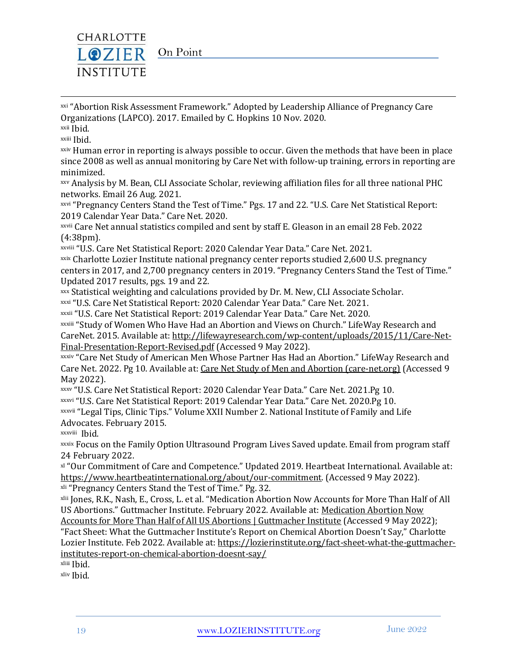

xxi "Abortion Risk Assessment Framework." Adopted by Leadership Alliance of Pregnancy Care Organizations (LAPCO). 2017. Emailed by C. Hopkins 10 Nov. 2020.

xxii Ibid.

xxiii Ibid.

xxiv Human error in reporting is always possible to occur. Given the methods that have been in place since 2008 as well as annual monitoring by Care Net with follow-up training, errors in reporting are minimized.

xxv Analysis by M. Bean, CLI Associate Scholar, reviewing affiliation files for all three national PHC networks. Email 26 Aug. 2021.

xxvi "Pregnancy Centers Stand the Test of Time." Pgs. 17 and 22. "U.S. Care Net Statistical Report: 2019 Calendar Year Data." Care Net. 2020.

xxvii Care Net annual statistics compiled and sent by staff E. Gleason in an email 28 Feb. 2022 (4:38pm).

xxviii "U.S. Care Net Statistical Report: 2020 Calendar Year Data." Care Net. 2021.

xxix Charlotte Lozier Institute national pregnancy center reports studied 2,600 U.S. pregnancy centers in 2017, and 2,700 pregnancy centers in 2019. "Pregnancy Centers Stand the Test of Time." Updated 2017 results, pgs. 19 and 22.

xxx Statistical weighting and calculations provided by Dr. M. New, CLI Associate Scholar.

xxxi "U.S. Care Net Statistical Report: 2020 Calendar Year Data." Care Net. 2021.

xxxii "U.S. Care Net Statistical Report: 2019 Calendar Year Data." Care Net. 2020.

xxxiii "Study of Women Who Have Had an Abortion and Views on Church." LifeWay Research and CareNet. 2015. Available at: [http://lifewayresearch.com/wp-content/uploads/2015/11/Care-Net-](http://lifewayresearch.com/wp-content/uploads/2015/11/Care-Net-Final-Presentation-Report-Revised.pdf)[Final-Presentation-Report-Revised.pdf](http://lifewayresearch.com/wp-content/uploads/2015/11/Care-Net-Final-Presentation-Report-Revised.pdf) (Accessed 9 May 2022).

xxxiv "Care Net Study of American Men Whose Partner Has Had an Abortion." LifeWay Research and Care Net. 2022. Pg 10. Available at[: Care Net Study of Men and Abortion \(care-net.org\)](https://www.care-net.org/mens-survey) (Accessed 9 May 2022).

xxxv "U.S. Care Net Statistical Report: 2020 Calendar Year Data." Care Net. 2021.Pg 10.

xxxvi "U.S. Care Net Statistical Report: 2019 Calendar Year Data." Care Net. 2020.Pg 10.

xxxvii "Legal Tips, Clinic Tips." Volume XXII Number 2. National Institute of Family and Life Advocates. February 2015.

xxxviii Ibid.

xxxix Focus on the Family Option Ultrasound Program Lives Saved update. Email from program staff 24 February 2022.

xl "Our Commitment of Care and Competence." Updated 2019. Heartbeat International. Available at: [https://www.heartbeatinternational.org/about/our-commitment.](https://www.heartbeatinternational.org/about/our-commitment) (Accessed 9 May 2022). xli "Pregnancy Centers Stand the Test of Time." Pg. 32.

xlii Jones, R.K., Nash, E., Cross, L. et al. "Medication Abortion Now Accounts for More Than Half of All US Abortions." Guttmacher Institute. February 2022. Available at[: Medication Abortion Now](https://www.guttmacher.org/article/2022/02/medication-abortion-now-accounts-more-half-all-us-abortions) 

[Accounts for More Than Half of All US Abortions | Guttmacher Institute](https://www.guttmacher.org/article/2022/02/medication-abortion-now-accounts-more-half-all-us-abortions) (Accessed 9 May 2022); "Fact Sheet: What the Guttmacher Institute's Report on Chemical Abortion Doesn't Say," Charlotte Lozier Institute. Feb 2022. Available at: [https://lozierinstitute.org/fact-sheet-what-the-guttmacher](https://lozierinstitute.org/fact-sheet-what-the-guttmacher-institutes-report-on-chemical-abortion-doesnt-say/)[institutes-report-on-chemical-abortion-doesnt-say/](https://lozierinstitute.org/fact-sheet-what-the-guttmacher-institutes-report-on-chemical-abortion-doesnt-say/)

xliii Ibid.

xliv Ibid.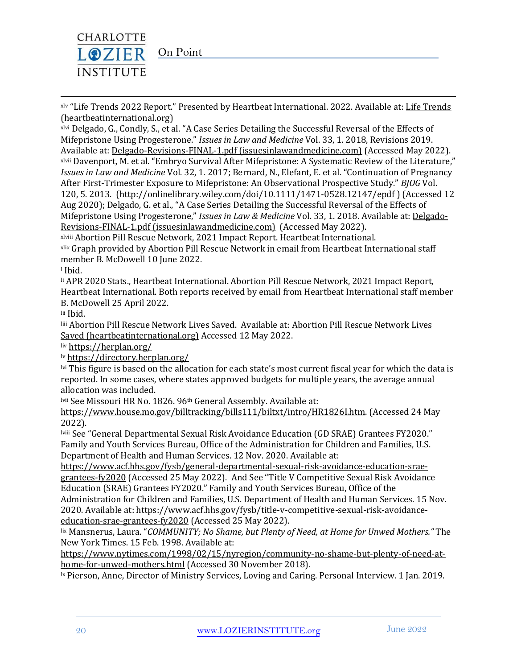

xlv "[Life Trends](https://www.heartbeatinternational.org/lifetrends) 2022 Report." Presented by Heartbeat International. 2022. Available at: Life Trends [\(heartbeatinternational.org\)](https://www.heartbeatinternational.org/lifetrends)

xlvi Delgado, G., Condly, S., et al. "A Case Series Detailing the Successful Reversal of the Effects of Mifepristone Using Progesterone." *Issues in Law and Medicine* Vol. 33, 1. 2018, Revisions 2019. Available at[: Delgado-Revisions-FINAL-1.pdf \(issuesinlawandmedicine.com\)](http://issuesinlawandmedicine.com/wp-content/uploads/2019/10/Delgado-Revisions-FINAL-1.pdf) (Accessed May 2022). xlvii Davenport, M. et al. "Embryo Survival After Mifepristone: A Systematic Review of the Literature," *Issues in Law and Medicine* Vol. 32, 1. 2017; Bernard, N., Elefant, E. et al. "Continuation of Pregnancy After First-Trimester Exposure to Mifepristone: An Observational Prospective Study." *BJOG* Vol. 120, 5. 2013. (http://onlinelibrary.wiley.com/doi/10.1111/1471-0528.12147/epdf ) (Accessed 12 Aug 2020); Delgado, G. et al., "A Case Series Detailing the Successful Reversal of the Effects of Mifepristone Using Progesterone," *Issues in Law & Medicine* Vol. 33, 1. 2018. Available at[: Delgado-](http://issuesinlawandmedicine.com/wp-content/uploads/2019/10/Delgado-Revisions-FINAL-1.pdf)[Revisions-FINAL-1.pdf \(issuesinlawandmedicine.com\)](http://issuesinlawandmedicine.com/wp-content/uploads/2019/10/Delgado-Revisions-FINAL-1.pdf) (Accessed May 2022).

xlviii Abortion Pill Rescue Network, 2021 Impact Report. Heartbeat International. xlix Graph provided by Abortion Pill Rescue Network in email from Heartbeat International staff

member B. McDowell 10 June 2022.

<sup>l</sup> Ibid.

li APR 2020 Stats., Heartbeat International. Abortion Pill Rescue Network, 2021 Impact Report, Heartbeat International. Both reports received by email from Heartbeat International staff member B. McDowell 25 April 2022.

lii Ibid.

liii [Abortion Pill Rescue Network Lives](https://www.heartbeatinternational.org/aprn-lives-saved) Saved. Available at: Abortion Pill Rescue Network Lives [Saved \(heartbeatinternational.org\)](https://www.heartbeatinternational.org/aprn-lives-saved) Accessed 12 May 2022.

liv <https://herplan.org/>

lv <https://directory.herplan.org/>

lvi This figure is based on the allocation for each state's most current fiscal year for which the data is reported. In some cases, where states approved budgets for multiple years, the average annual allocation was included.

lvii See Missouri HR No. 1826. 96th General Assembly. Available at:

[https://www.house.mo.gov/billtracking/bills111/biltxt/intro/HR1826I.htm.](https://www.house.mo.gov/billtracking/bills111/biltxt/intro/HR1826I.htm) (Accessed 24 May 2022).

lviii See "General Departmental Sexual Risk Avoidance Education (GD SRAE) Grantees FY2020." Family and Youth Services Bureau, Office of the Administration for Children and Families, U.S. Department of Health and Human Services. 12 Nov. 2020. Available at:

[https://www.acf.hhs.gov/fysb/general-departmental-sexual-risk-avoidance-education-srae](https://www.acf.hhs.gov/fysb/general-departmental-sexual-risk-avoidance-education-srae-grantees-fy2020)[grantees-fy2020](https://www.acf.hhs.gov/fysb/general-departmental-sexual-risk-avoidance-education-srae-grantees-fy2020) (Accessed 25 May 2022). And See "Title V Competitive Sexual Risk Avoidance Education (SRAE) Grantees FY2020." Family and Youth Services Bureau, Office of the

Administration for Children and Families, U.S. Department of Health and Human Services. 15 Nov. 2020. Available at[: https://www.acf.hhs.gov/fysb/title-v-competitive-sexual-risk-avoidance](https://www.acf.hhs.gov/fysb/title-v-competitive-sexual-risk-avoidance-education-srae-grantees-fy2020)[education-srae-grantees-fy2020](https://www.acf.hhs.gov/fysb/title-v-competitive-sexual-risk-avoidance-education-srae-grantees-fy2020) (Accessed 25 May 2022).

lix Mansnerus, Laura. "*COMMUNITY; No Shame, but Plenty of Need, at Home for Unwed Mothers."* The New York Times. 15 Feb. 1998. Available at:

[https://www.nytimes.com/1998/02/15/nyregion/community-no-shame-but-plenty-of-need-at](https://www.nytimes.com/1998/02/15/nyregion/community-no-shame-but-plenty-of-need-at-home-for-unwed-mothers.html)[home-for-unwed-mothers.html](https://www.nytimes.com/1998/02/15/nyregion/community-no-shame-but-plenty-of-need-at-home-for-unwed-mothers.html) (Accessed 30 November 2018).

<sup>1x</sup> Pierson, Anne, Director of Ministry Services, Loving and Caring. Personal Interview. 1 Jan. 2019.